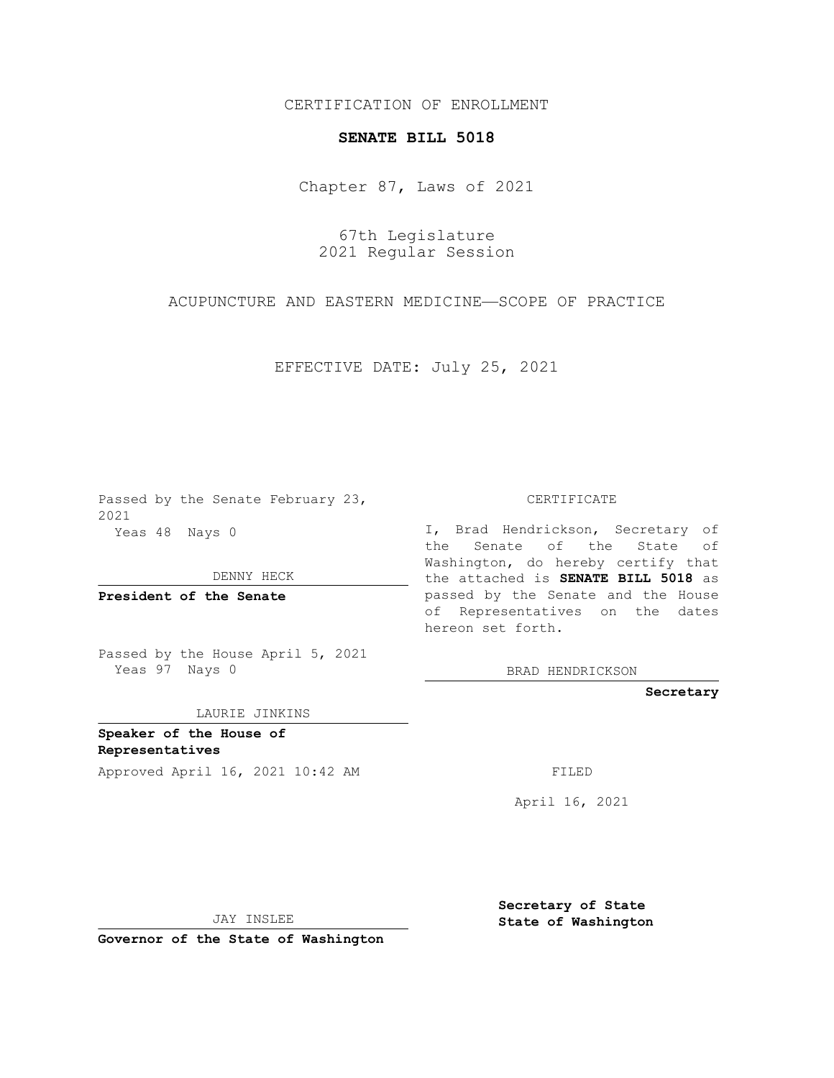## CERTIFICATION OF ENROLLMENT

## **SENATE BILL 5018**

Chapter 87, Laws of 2021

67th Legislature 2021 Regular Session

ACUPUNCTURE AND EASTERN MEDICINE—SCOPE OF PRACTICE

EFFECTIVE DATE: July 25, 2021

Passed by the Senate February 23, 2021 Yeas 48 Nays 0

DENNY HECK

**President of the Senate**

Passed by the House April 5, 2021 Yeas 97 Nays 0

LAURIE JINKINS

**Speaker of the House of Representatives** Approved April 16, 2021 10:42 AM FILED

CERTIFICATE

I, Brad Hendrickson, Secretary of the Senate of the State of Washington, do hereby certify that the attached is **SENATE BILL 5018** as passed by the Senate and the House of Representatives on the dates hereon set forth.

BRAD HENDRICKSON

**Secretary**

April 16, 2021

JAY INSLEE

**Governor of the State of Washington**

**Secretary of State State of Washington**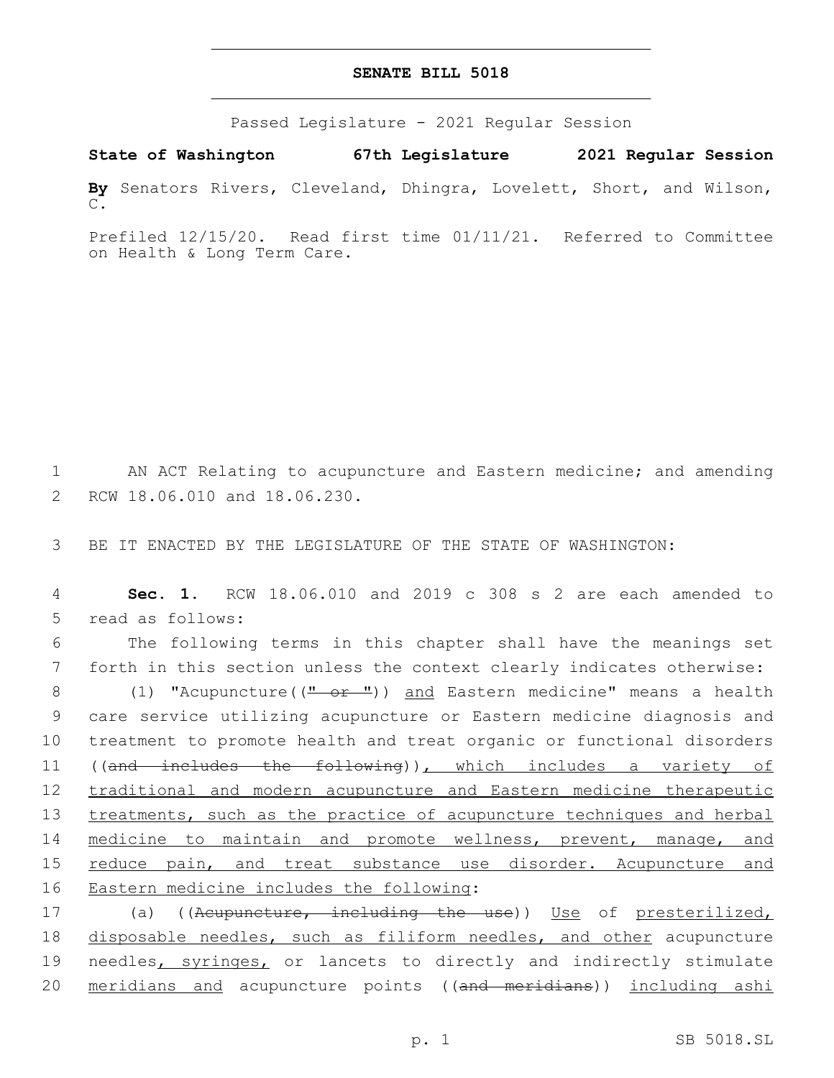## **SENATE BILL 5018**

Passed Legislature - 2021 Regular Session

**State of Washington 67th Legislature 2021 Regular Session By** Senators Rivers, Cleveland, Dhingra, Lovelett, Short, and Wilson, C.

Prefiled 12/15/20. Read first time 01/11/21. Referred to Committee on Health & Long Term Care.

1 AN ACT Relating to acupuncture and Eastern medicine; and amending 2 RCW 18.06.010 and 18.06.230.

3 BE IT ENACTED BY THE LEGISLATURE OF THE STATE OF WASHINGTON:

4 **Sec. 1.** RCW 18.06.010 and 2019 c 308 s 2 are each amended to 5 read as follows:

6 The following terms in this chapter shall have the meanings set 7 forth in this section unless the context clearly indicates otherwise:

8 (1) "Acupuncture((" or ")) and Eastern medicine" means a health 9 care service utilizing acupuncture or Eastern medicine diagnosis and 10 treatment to promote health and treat organic or functional disorders 11 ((and includes the following)), which includes a variety of 12 traditional and modern acupuncture and Eastern medicine therapeutic 13 treatments, such as the practice of acupuncture techniques and herbal 14 medicine to maintain and promote wellness, prevent, manage, and 15 reduce pain, and treat substance use disorder. Acupuncture and 16 Eastern medicine includes the following:

17 (a) ((Acupuncture, including the use)) Use of presterilized, 18 disposable needles, such as filiform needles, and other acupuncture 19 needles, syringes, or lancets to directly and indirectly stimulate 20 meridians and acupuncture points ((and meridians)) including ashi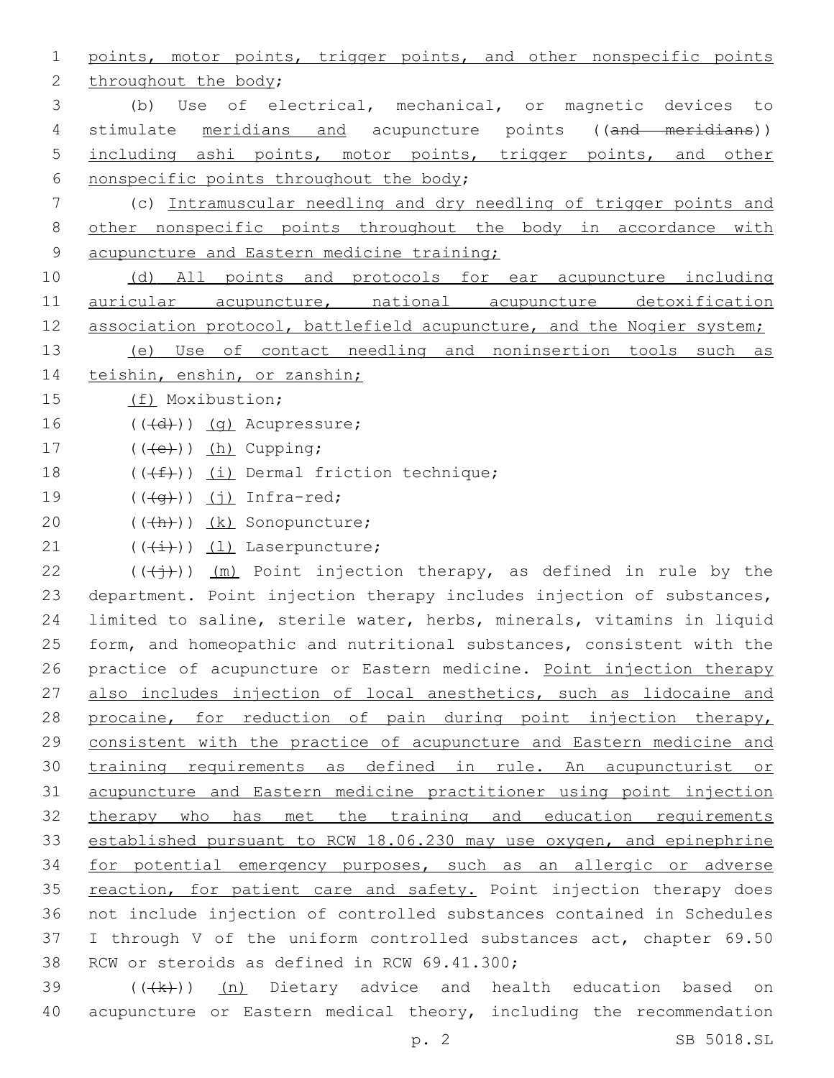1 points, motor points, trigger points, and other nonspecific points 2 throughout the body; 3 (b) Use of electrical, mechanical, or magnetic devices to 4 stimulate meridians and acupuncture points ((and meridians)) 5 including ashi points, motor points, trigger points, and other 6 nonspecific points throughout the body; 7 (c) Intramuscular needling and dry needling of trigger points and 8 other nonspecific points throughout the body in accordance with 9 acupuncture and Eastern medicine training; 10 (d) All points and protocols for ear acupuncture including 11 auricular acupuncture, national acupuncture detoxification 12 association protocol, battlefield acupuncture, and the Nogier system; 13 (e) Use of contact needling and noninsertion tools such as 14 teishin, enshin, or zanshin; 15 (f) Moxibustion;  $16$   $((\text{+d})^2)(\text{q})$  Acupressure; 17  $((\text{+e})^n)(\text{h})$  Cupping; 18  $((\text{#}))$  (i) Dermal friction technique; 19  $((\overline{q}))(j)$  Infra-red; 20 (((h))) (k) Sonopuncture; 21  $((\overleftrightarrow{t}))$   $(1)$  Laserpuncture; 22 ( $(\overrightarrow{(+)})$ ) (m) Point injection therapy, as defined in rule by the 23 department. Point injection therapy includes injection of substances, 24 limited to saline, sterile water, herbs, minerals, vitamins in liquid 25 form, and homeopathic and nutritional substances, consistent with the 26 practice of acupuncture or Eastern medicine. Point injection therapy 27 also includes injection of local anesthetics, such as lidocaine and 28 procaine, for reduction of pain during point injection therapy, 29 consistent with the practice of acupuncture and Eastern medicine and 30 training requirements as defined in rule. An acupuncturist or 31 acupuncture and Eastern medicine practitioner using point injection 32 therapy who has met the training and education requirements 33 established pursuant to RCW 18.06.230 may use oxygen, and epinephrine 34 for potential emergency purposes, such as an allergic or adverse 35 reaction, for patient care and safety. Point injection therapy does 36 not include injection of controlled substances contained in Schedules 37 I through V of the uniform controlled substances act, chapter 69.50 38 RCW or steroids as defined in RCW 69.41.300;  $39$  ( $(\frac{1}{k})$ ) (n) Dietary advice and health education based on

40 acupuncture or Eastern medical theory, including the recommendation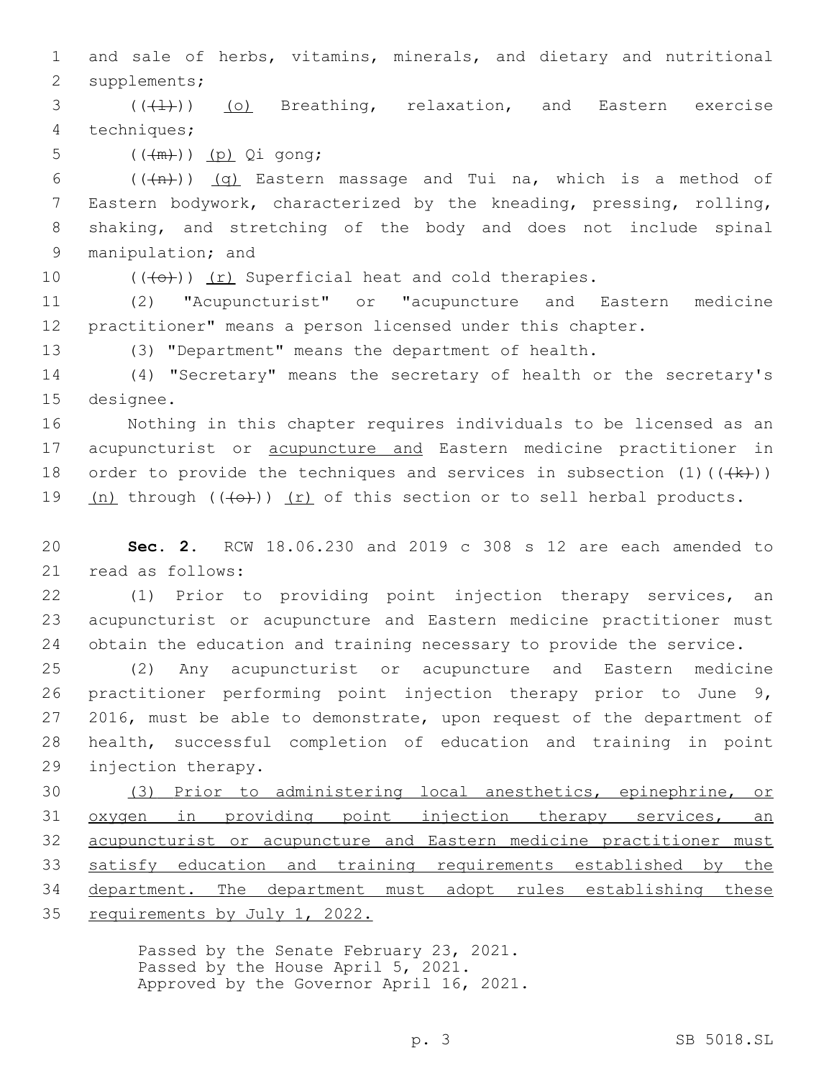and sale of herbs, vitamins, minerals, and dietary and nutritional 2 supplements;

  $((+1))$   $(0)$  Breathing, relaxation, and Eastern exercise 4 techniques;

5  $((+\mathfrak{m}))(p)$  Qi gong;

 $((+n))$   $(q)$  Eastern massage and Tui na, which is a method of Eastern bodywork, characterized by the kneading, pressing, rolling, shaking, and stretching of the body and does not include spinal 9 manipulation; and

10  $((+e+))$   $(r)$  Superficial heat and cold therapies.

 (2) "Acupuncturist" or "acupuncture and Eastern medicine practitioner" means a person licensed under this chapter.

(3) "Department" means the department of health.

 (4) "Secretary" means the secretary of health or the secretary's 15 designee.

 Nothing in this chapter requires individuals to be licensed as an acupuncturist or acupuncture and Eastern medicine practitioner in 18 order to provide the techniques and services in subsection  $(1)$  ( $(\frac{1}{k})$ )  $(n)$  through  $((+e+))$   $(r)$  of this section or to sell herbal products.

 **Sec. 2.** RCW 18.06.230 and 2019 c 308 s 12 are each amended to 21 read as follows:

 (1) Prior to providing point injection therapy services, an acupuncturist or acupuncture and Eastern medicine practitioner must obtain the education and training necessary to provide the service.

 (2) Any acupuncturist or acupuncture and Eastern medicine practitioner performing point injection therapy prior to June 9, 2016, must be able to demonstrate, upon request of the department of health, successful completion of education and training in point 29 injection therapy.

 (3) Prior to administering local anesthetics, epinephrine, or oxygen in providing point injection therapy services, an acupuncturist or acupuncture and Eastern medicine practitioner must satisfy education and training requirements established by the department. The department must adopt rules establishing these requirements by July 1, 2022.

> Passed by the Senate February 23, 2021. Passed by the House April 5, 2021. Approved by the Governor April 16, 2021.